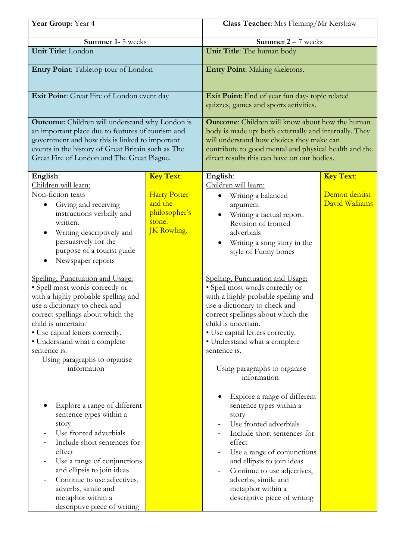| Year Group: Year 4                                                                                                                                                                                                                                                                                                                                                                                                                                                                                                                                                                                                                                                                                                                                                                                                                                                                               |                                                                                                     | Class Teacher: Mrs Fleming/Mr Kershaw                                                                                                                                                                                                                                                                                                                                                                                                                                                                                                                                                                                                                                                                                                                                                                                                                                 |                                                     |
|--------------------------------------------------------------------------------------------------------------------------------------------------------------------------------------------------------------------------------------------------------------------------------------------------------------------------------------------------------------------------------------------------------------------------------------------------------------------------------------------------------------------------------------------------------------------------------------------------------------------------------------------------------------------------------------------------------------------------------------------------------------------------------------------------------------------------------------------------------------------------------------------------|-----------------------------------------------------------------------------------------------------|-----------------------------------------------------------------------------------------------------------------------------------------------------------------------------------------------------------------------------------------------------------------------------------------------------------------------------------------------------------------------------------------------------------------------------------------------------------------------------------------------------------------------------------------------------------------------------------------------------------------------------------------------------------------------------------------------------------------------------------------------------------------------------------------------------------------------------------------------------------------------|-----------------------------------------------------|
| Summer 1- 5 weeks                                                                                                                                                                                                                                                                                                                                                                                                                                                                                                                                                                                                                                                                                                                                                                                                                                                                                |                                                                                                     | <b>Summer 2</b> $-$ 7 weeks                                                                                                                                                                                                                                                                                                                                                                                                                                                                                                                                                                                                                                                                                                                                                                                                                                           |                                                     |
| Unit Title: London                                                                                                                                                                                                                                                                                                                                                                                                                                                                                                                                                                                                                                                                                                                                                                                                                                                                               |                                                                                                     | Unit Title: The human body                                                                                                                                                                                                                                                                                                                                                                                                                                                                                                                                                                                                                                                                                                                                                                                                                                            |                                                     |
| Entry Point: Tabletop tour of London                                                                                                                                                                                                                                                                                                                                                                                                                                                                                                                                                                                                                                                                                                                                                                                                                                                             |                                                                                                     | <b>Entry Point:</b> Making skeletons.                                                                                                                                                                                                                                                                                                                                                                                                                                                                                                                                                                                                                                                                                                                                                                                                                                 |                                                     |
| Exit Point: Great Fire of London event day                                                                                                                                                                                                                                                                                                                                                                                                                                                                                                                                                                                                                                                                                                                                                                                                                                                       |                                                                                                     | Exit Point: End of year fun day- topic related<br>quizzes, games and sports activities.                                                                                                                                                                                                                                                                                                                                                                                                                                                                                                                                                                                                                                                                                                                                                                               |                                                     |
| <b>Outcome:</b> Children will understand why London is<br>an important place due to features of tourism and<br>government and how this is linked to important<br>events in the history of Great Britain such as The<br>Great Fire of London and The Great Plague.                                                                                                                                                                                                                                                                                                                                                                                                                                                                                                                                                                                                                                |                                                                                                     | <b>Outcome:</b> Children will know about how the human<br>body is made up: both externally and internally. They<br>will understand how choices they make can<br>contribute to good mental and physical health and the<br>direct results this can have on our bodies.                                                                                                                                                                                                                                                                                                                                                                                                                                                                                                                                                                                                  |                                                     |
| English:<br>Children will learn:<br>Non-fiction texts<br>Giving and receiving<br>instructions verbally and<br>written.<br>Writing descriptively and<br>persuasively for the<br>purpose of a tourist guide<br>Newspaper reports<br>Spelling, Punctuation and Usage:<br>· Spell most words correctly or<br>with a highly probable spelling and<br>use a dictionary to check and<br>correct spellings about which the<br>child is uncertain.<br>· Use capital letters correctly.<br>• Understand what a complete<br>sentence is.<br>Using paragraphs to organise<br>information<br>Explore a range of different<br>sentence types within a<br>story<br>Use fronted adverbials<br>-<br>Include short sentences for<br>effect<br>Use a range of conjunctions<br>and ellipsis to join ideas<br>Continue to use adjectives,<br>adverbs, simile and<br>metaphor within a<br>descriptive piece of writing | <b>Key Text:</b><br><b>Harry Potter</b><br>and the<br>philosopher's<br>stone.<br><b>JK</b> Rowling. | English:<br>Children will learn:<br>Writing a balanced<br>$\bullet$<br>argument<br>Writing a factual report.<br>Revision of fronted<br>adverbials<br>Writing a song story in the<br>style of Funny bones<br>Spelling, Punctuation and Usage:<br>· Spell most words correctly or<br>with a highly probable spelling and<br>use a dictionary to check and<br>correct spellings about which the<br>child is uncertain.<br>• Use capital letters correctly.<br>• Understand what a complete<br>sentence is.<br>Using paragraphs to organise<br>information<br>Explore a range of different<br>sentence types within a<br>story<br>Use fronted adverbials<br>Include short sentences for<br>effect<br>Use a range of conjunctions<br>and ellipsis to join ideas<br>Continue to use adjectives,<br>adverbs, simile and<br>metaphor within a<br>descriptive piece of writing | <b>Key Text:</b><br>Demon dentist<br>David Walliams |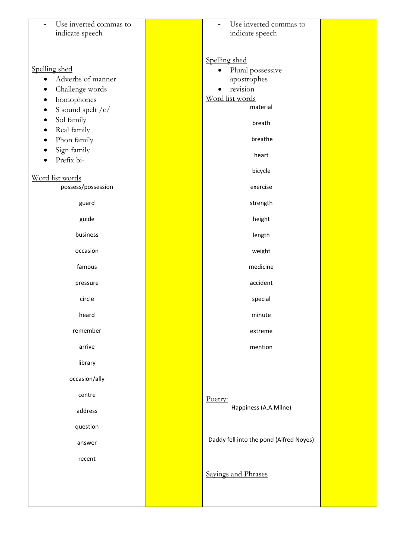| Use inverted commas to<br>indicate speech                        | Use inverted commas to<br>$\overline{a}$<br>indicate speech    |  |
|------------------------------------------------------------------|----------------------------------------------------------------|--|
|                                                                  |                                                                |  |
| Spelling shed<br>Adverbs of manner<br>$\bullet$                  | Spelling shed<br>Plural possessive<br>$\bullet$<br>apostrophes |  |
| Challenge words<br>homophones<br>S sound spelt / c/<br>$\bullet$ | revision<br>Word list words<br>material                        |  |
| Sol family<br>$\bullet$<br>Real family<br>٠                      | breath<br>breathe                                              |  |
| Phon family<br>Sign family<br>Prefix bi-                         | heart                                                          |  |
| Word list words                                                  | bicycle                                                        |  |
| possess/possession                                               | exercise                                                       |  |
| guard                                                            | strength                                                       |  |
| guide                                                            | height                                                         |  |
| business                                                         | length                                                         |  |
| occasion                                                         | weight                                                         |  |
| famous                                                           | medicine                                                       |  |
| pressure                                                         | accident                                                       |  |
| circle                                                           | special                                                        |  |
| heard                                                            | minute                                                         |  |
| remember                                                         | extreme                                                        |  |
| arrive                                                           | mention                                                        |  |
| library                                                          |                                                                |  |
| occasion/ally                                                    |                                                                |  |
| centre                                                           | Poetry:                                                        |  |
| address                                                          | Happiness (A.A.Milne)                                          |  |
| question                                                         |                                                                |  |
| answer                                                           | Daddy fell into the pond (Alfred Noyes)                        |  |
| recent                                                           |                                                                |  |
|                                                                  | Sayings and Phrases                                            |  |
|                                                                  |                                                                |  |
|                                                                  |                                                                |  |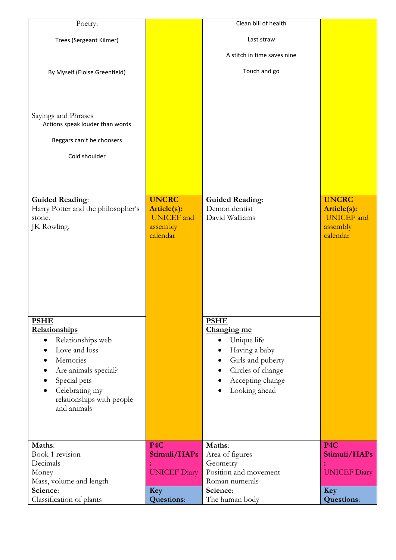| Poetry:                                                |                          | Clean bill of health                        |                          |
|--------------------------------------------------------|--------------------------|---------------------------------------------|--------------------------|
|                                                        |                          |                                             |                          |
| Trees (Sergeant Kilmer)                                |                          | Last straw                                  |                          |
|                                                        |                          | A stitch in time saves nine                 |                          |
|                                                        |                          |                                             |                          |
| By Myself (Eloise Greenfield)                          |                          | Touch and go                                |                          |
|                                                        |                          |                                             |                          |
|                                                        |                          |                                             |                          |
|                                                        |                          |                                             |                          |
| Sayings and Phrases<br>Actions speak louder than words |                          |                                             |                          |
|                                                        |                          |                                             |                          |
| Beggars can't be choosers                              |                          |                                             |                          |
| Cold shoulder                                          |                          |                                             |                          |
|                                                        |                          |                                             |                          |
|                                                        |                          |                                             |                          |
|                                                        |                          |                                             |                          |
| <b>Guided Reading:</b>                                 | <b>UNCRC</b>             | <b>Guided Reading:</b>                      | <b>UNCRC</b>             |
| Harry Potter and the philosopher's                     | Article(s):              | Demon dentist                               | Article(s):              |
| stone.                                                 | <b>UNICEF</b> and        | David Walliams                              | <b>UNICEF</b> and        |
| JK Rowling.                                            | assembly                 |                                             | assembly                 |
|                                                        | calendar                 |                                             | calendar                 |
|                                                        |                          |                                             |                          |
|                                                        |                          |                                             |                          |
|                                                        |                          |                                             |                          |
|                                                        |                          |                                             |                          |
|                                                        |                          |                                             |                          |
|                                                        |                          |                                             |                          |
|                                                        |                          |                                             |                          |
| <b>PSHE</b>                                            |                          | <b>PSHE</b>                                 |                          |
| Relationships                                          |                          | Changing me                                 |                          |
| Relationships web<br>$\bullet$<br>Love and loss        |                          | Unique life<br>$\bullet$                    |                          |
| Memories<br>$\bullet$                                  |                          | Having a baby<br>٠                          |                          |
| Are animals special?                                   |                          | Girls and puberty<br>Circles of change<br>٠ |                          |
| Special pets                                           |                          | Accepting change<br>$\bullet$               |                          |
| Celebrating my<br>٠                                    |                          | Looking ahead<br>٠                          |                          |
| relationships with people                              |                          |                                             |                          |
| and animals                                            |                          |                                             |                          |
|                                                        |                          |                                             |                          |
|                                                        |                          |                                             |                          |
| Maths:                                                 | P <sub>4</sub> C         | Maths:                                      | P <sub>4C</sub>          |
| Book 1 revision                                        | Stimuli/HAPs             | Area of figures                             | Stimuli/HAPs             |
| Decimals                                               |                          | Geometry                                    |                          |
| Money                                                  | <b>UNICEF Diary</b>      | Position and movement                       | <b>UNICEF Diary</b>      |
| Mass, volume and length                                |                          | Roman numerals                              |                          |
| Science:<br>Classification of plants                   | Key<br><b>Questions:</b> | Science:<br>The human body                  | Key<br><b>Questions:</b> |
|                                                        |                          |                                             |                          |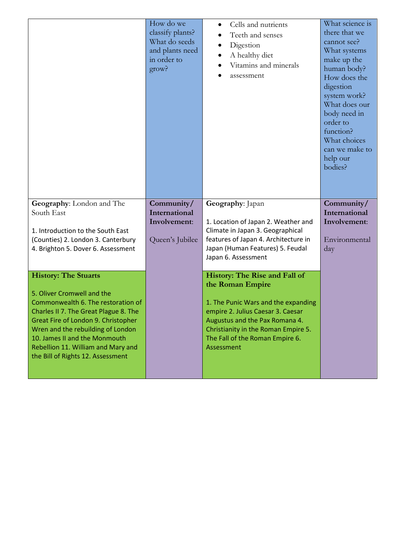|                                                                                                                                                                                                                                                                                                   | How do we<br>classify plants?<br>What do seeds<br>and plants need<br>in order to<br>grow? | Cells and nutrients<br>$\bullet$<br>Teeth and senses<br>Digestion<br>$\bullet$<br>A healthy diet<br>Vitamins and minerals<br>assessment                                                            | What science is<br>there that we<br>cannot see?<br>What systems<br>make up the<br>human body?<br>How does the<br>digestion<br>system work?<br>What does our<br>body need in<br>order to<br>function?<br>What choices<br>can we make to<br>help our<br>bodies? |
|---------------------------------------------------------------------------------------------------------------------------------------------------------------------------------------------------------------------------------------------------------------------------------------------------|-------------------------------------------------------------------------------------------|----------------------------------------------------------------------------------------------------------------------------------------------------------------------------------------------------|---------------------------------------------------------------------------------------------------------------------------------------------------------------------------------------------------------------------------------------------------------------|
| Geography: London and The<br>South East                                                                                                                                                                                                                                                           | Community/<br>International<br>Involvement:                                               | Geography: Japan<br>1. Location of Japan 2. Weather and                                                                                                                                            | Community/<br>International<br>Involvement:                                                                                                                                                                                                                   |
| 1. Introduction to the South East                                                                                                                                                                                                                                                                 |                                                                                           | Climate in Japan 3. Geographical                                                                                                                                                                   | Environmental                                                                                                                                                                                                                                                 |
| (Counties) 2. London 3. Canterbury<br>4. Brighton 5. Dover 6. Assessment                                                                                                                                                                                                                          | Queen's Jubilee                                                                           | features of Japan 4. Architecture in<br>Japan (Human Features) 5. Feudal<br>Japan 6. Assessment                                                                                                    | day                                                                                                                                                                                                                                                           |
| <b>History: The Stuarts</b>                                                                                                                                                                                                                                                                       |                                                                                           | History: The Rise and Fall of<br>the Roman Empire                                                                                                                                                  |                                                                                                                                                                                                                                                               |
| 5. Oliver Cromwell and the<br>Commonwealth 6. The restoration of<br>Charles II 7. The Great Plague 8. The<br>Great Fire of London 9. Christopher<br>Wren and the rebuilding of London<br>10. James II and the Monmouth<br>Rebellion 11. William and Mary and<br>the Bill of Rights 12. Assessment |                                                                                           | 1. The Punic Wars and the expanding<br>empire 2. Julius Caesar 3. Caesar<br>Augustus and the Pax Romana 4.<br>Christianity in the Roman Empire 5.<br>The Fall of the Roman Empire 6.<br>Assessment |                                                                                                                                                                                                                                                               |